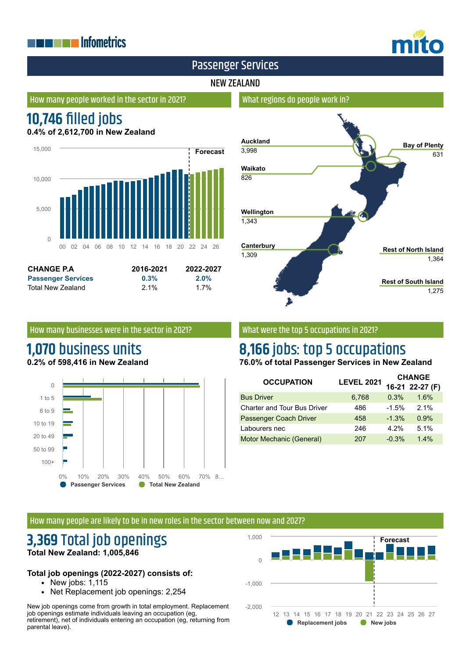## **THE EXPLOSITION ENERGY INC.**



## Passenger Services

#### NEW ZEALAND

#### How many people worked in the sector in 2021?

# **10,746 filled jobs**

**0.4% of 2,612,700 in New Zealand**



| <b>CHANGE P.A</b>         | 2016-2021 | 2022-2027 |
|---------------------------|-----------|-----------|
| <b>Passenger Services</b> | 0.3%      | $2.0\%$   |
| Total New Zealand         | $2.1\%$   | 1.7%      |

## **Auckland** 3,998 **Waikato** 826 **Wellington** 1,343 **Canterbury** 1,309 **Bay of Plenty** 631 **Rest of North Island** 1,364 **Rest of South Island** 1,275

#### How many businesses were in the sector in 2021?

## **1,070** business units **0.2% of 598,416 in New Zealand**



#### What were the top 5 occupations in 2021?

What regions do people work in?

# **8,166** jobs: top 5 occupations

**76.0% of total Passenger Services in New Zealand**

| <b>OCCUPATION</b>                  | <b>LEVEL 2021</b> | <b>CHANGE</b> |                 |
|------------------------------------|-------------------|---------------|-----------------|
|                                    |                   |               | 16-21 22-27 (F) |
| <b>Bus Driver</b>                  | 6,768             | 0.3%          | 1.6%            |
| <b>Charter and Tour Bus Driver</b> | 486               | $-1.5%$       | 2.1%            |
| Passenger Coach Driver             | 458               | $-1.3%$       | 0.9%            |
| Labourers nec                      | 246               | 4.2%          | 5.1%            |
| Motor Mechanic (General)           | 207               | $-0.3%$       | 1.4%            |

#### How many people are likely to be in new roles in the sector between now and 2027?

## **3,369** Total job openings **Total New Zealand: 1,005,846**

#### **Total job openings (2022-2027) consists of:**

- $\bullet$  New jobs: 1,115
- Net Replacement job openings: 2,254

New job openings come from growth in total employment. Replacement job openings estimate individuals leaving an occupation (eg, retirement), net of individuals entering an occupation (eg, returning from parental leave).